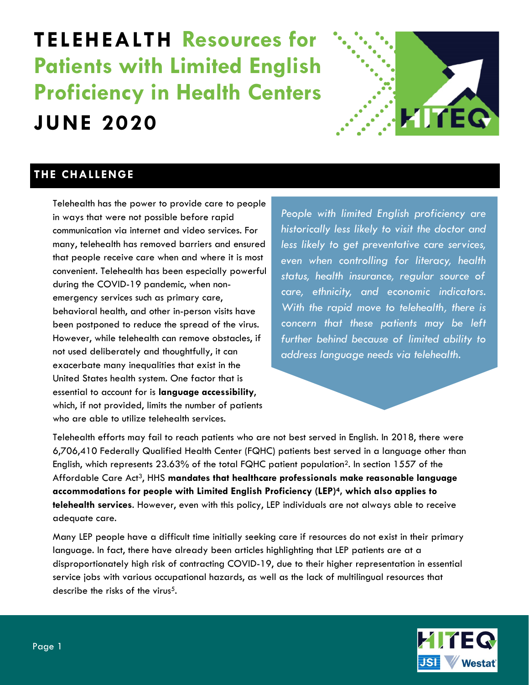# **TELEHEALTH Resources for Patients with Limited English Proficiency in Health Centers JUNE 2020**



### **THE CHALLENGE**

Telehealth has the power to provide care to people in ways that were not possible before rapid communication via internet and video services. For many, telehealth has removed barriers and ensured that people receive care when and where it is most convenient. Telehealth has been especially powerful during the COVID-19 pandemic, when nonemergency services such as primary care, behavioral health, and other in-person visits have been postponed to reduce the spread of the virus. However, while telehealth can remove obstacles, if not used deliberately and thoughtfully, it can exacerbate many inequalities that exist in the United States health system. One factor that is essential to account for is **language accessibility**, which, if not provided, limits the number of patients who are able to utilize telehealth services.

*People with limited English proficiency are historically less likely to visit the doctor and less likely to get preventative care services, even when controlling for literacy, health status, health insurance, regular source of care, ethnicity, and economic indicators. With the rapid move to telehealth, there is concern that these patients may be left further behind because of limited ability to address language needs via telehealth.*

Telehealth efforts may fail to reach patients who are not best served in English. In 2018, there were 6,706,410 Federally Qualified Health Center (FQHC) patients best served in a language other than English, which represents 23.63% of the total FQHC patient population2. In section 1557 of the Affordable Care Act3, HHS **mandates that healthcare professionals make reasonable language accommodations for people with Limited English Proficiency (LEP)4, which also applies to telehealth services**. However, even with this policy, LEP individuals are not always able to receive adequate care.

Many LEP people have a difficult time initially seeking care if resources do not exist in their primary language. In fact, there have already been articles highlighting that LEP patients are at a disproportionately high risk of contracting COVID-19, due to their higher representation in essential service jobs with various occupational hazards, as well as the lack of multilingual resources that describe the risks of the virus<sup>5</sup>.

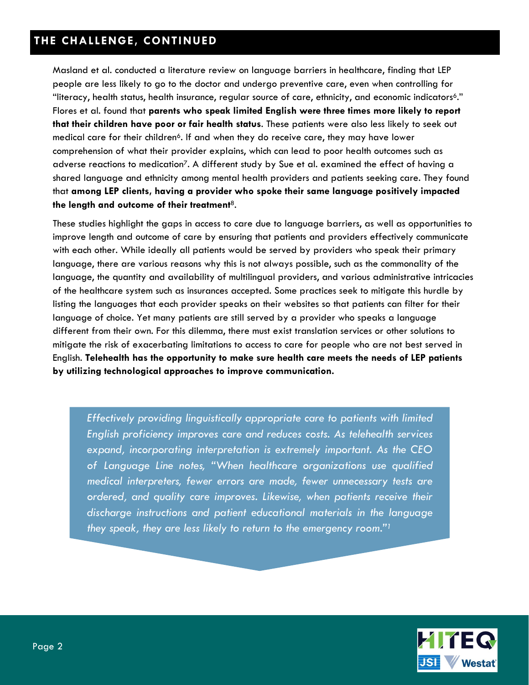Masland et al. conducted a literature review on language barriers in healthcare, finding that LEP people are less likely to go to the doctor and undergo preventive care, even when controlling for "literacy, health status, health insurance, regular source of care, ethnicity, and economic indicators6." Flores et al. found that **parents who speak limited English were three times more likely to report that their children have poor or fair health status**. These patients were also less likely to seek out medical care for their children<sup>6</sup>. If and when they do receive care, they may have lower comprehension of what their provider explains, which can lead to poor health outcomes such as adverse reactions to medication<sup>7</sup>. A different study by Sue et al. examined the effect of having a shared language and ethnicity among mental health providers and patients seeking care. They found that **among LEP clients, having a provider who spoke their same language positively impacted the length and outcome of their treatment**8.

These studies highlight the gaps in access to care due to language barriers, as well as opportunities to improve length and outcome of care by ensuring that patients and providers effectively communicate with each other. While ideally all patients would be served by providers who speak their primary language, there are various reasons why this is not always possible, such as the commonality of the language, the quantity and availability of multilingual providers, and various administrative intricacies of the healthcare system such as insurances accepted. Some practices seek to mitigate this hurdle by listing the languages that each provider speaks on their websites so that patients can filter for their language of choice. Yet many patients are still served by a provider who speaks a language different from their own. For this dilemma, there must exist translation services or other solutions to mitigate the risk of exacerbating limitations to access to care for people who are not best served in English. **Telehealth has the opportunity to make sure health care meets the needs of LEP patients by utilizing technological approaches to improve communication.**

*Effectively providing linguistically appropriate care to patients with limited English proficiency improves care and reduces costs. As telehealth services expand, incorporating interpretation is extremely important. As the CEO of Language Line notes, "When healthcare organizations use qualified medical interpreters, fewer errors are made, fewer unnecessary tests are ordered, and quality care improves. Likewise, when patients receive their discharge instructions and patient educational materials in the language they speak, they are less likely to return to the emergency room."1*

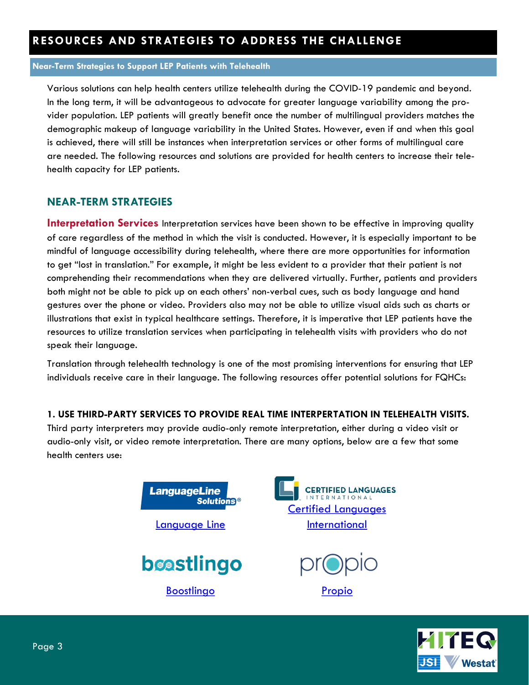#### **Near-Term Strategies to Support LEP Patients with Telehealth**

Various solutions can help health centers utilize telehealth during the COVID-19 pandemic and beyond. In the long term, it will be advantageous to advocate for greater language variability among the provider population. LEP patients will greatly benefit once the number of multilingual providers matches the demographic makeup of language variability in the United States. However, even if and when this goal is achieved, there will still be instances when interpretation services or other forms of multilingual care are needed. The following resources and solutions are provided for health centers to increase their telehealth capacity for LEP patients.

### **NEAR-TERM STRATEGIES**

**Interpretation Services** Interpretation services have been shown to be effective in improving quality of care regardless of the method in which the visit is conducted. However, it is especially important to be mindful of language accessibility during telehealth, where there are more opportunities for information to get "lost in translation." For example, it might be less evident to a provider that their patient is not comprehending their recommendations when they are delivered virtually. Further, patients and providers both might not be able to pick up on each others' non-verbal cues, such as body language and hand gestures over the phone or video. Providers also may not be able to utilize visual aids such as charts or illustrations that exist in typical healthcare settings. Therefore, it is imperative that LEP patients have the resources to utilize translation services when participating in telehealth visits with providers who do not speak their language.

Translation through telehealth technology is one of the most promising interventions for ensuring that LEP individuals receive care in their language. The following resources offer potential solutions for FQHCs:

#### **1. USE THIRD-PARTY SERVICES TO PROVIDE REAL TIME INTERPERTATION IN TELEHEALTH VISITS.**

Third party interpreters may provide audio-only remote interpretation, either during a video visit or audio-only visit, or video remote interpretation. There are many options, below are a few that some health centers use:



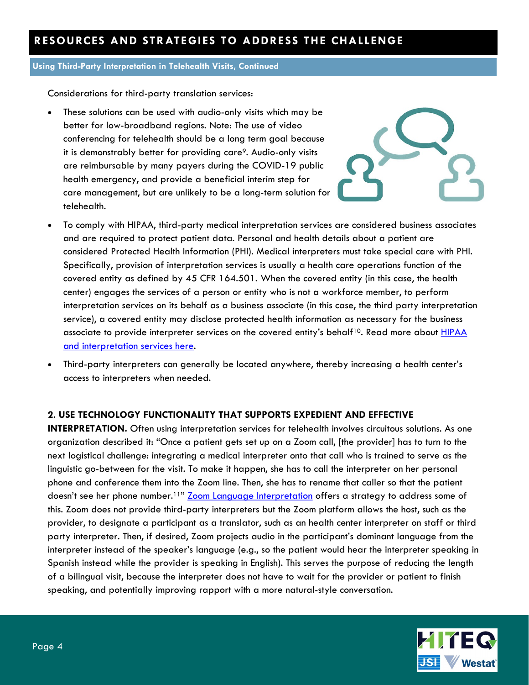#### **Using Third-Party Interpretation in Telehealth Visits, Continued**

Considerations for third-party translation services:

 These solutions can be used with audio-only visits which may be better for low-broadband regions. Note: The use of video conferencing for telehealth should be a long term goal because it is demonstrably better for providing care<sup>9</sup>. Audio-only visits are reimbursable by many payers during the COVID-19 public health emergency, and provide a beneficial interim step for care management, but are unlikely to be a long-term solution for telehealth.



- To comply with HIPAA, third-party medical interpretation services are considered business associates and are required to protect patient data. Personal and health details about a patient are considered Protected Health Information (PHI). Medical interpreters must take special care with PHI. Specifically, provision of interpretation services is usually a health care operations function of the covered entity as defined by 45 CFR 164.501. When the covered entity (in this case, the health center) engages the services of a person or entity who is not a workforce member, to perform interpretation services on its behalf as a business associate (in this case, the third party interpretation service), a covered entity may disclose protected health information as necessary for the business associate to provide interpreter services on the covered entity's behalf<sup>10</sup>. Read more about **HIPAA** [and interpretation services here.](https://www.hhs.gov/hipaa/for-professionals/faq/760/must-a-covered-provider-obtain-individual-authorization-to-disclose-to-an-interpreter/index.html)
- Third-party interpreters can generally be located anywhere, thereby increasing a health center's access to interpreters when needed.

#### **2. USE TECHNOLOGY FUNCTIONALITY THAT SUPPORTS EXPEDIENT AND EFFECTIVE**

**INTERPRETATION.** Often using interpretation services for telehealth involves circuitous solutions. As one organization described it: "Once a patient gets set up on a Zoom call, [the provider] has to turn to the next logistical challenge: integrating a medical interpreter onto that call who is trained to serve as the linguistic go-between for the visit. To make it happen, she has to call the interpreter on her personal phone and conference them into the Zoom line. Then, she has to rename that caller so that the patient doesn't see her phone number.<sup>11"</sup> [Zoom Language Interpretation](https://support.zoom.us/hc/en-us/articles/360034919791-Language-interpretation-in-meetings-and-webinars) offers a strategy to address some of this. Zoom does not provide third-party interpreters but the Zoom platform allows the host, such as the provider, to designate a participant as a translator, such as an health center interpreter on staff or third party interpreter*.* Then, if desired, Zoom projects audio in the participant's dominant language from the interpreter instead of the speaker's language (e.g., so the patient would hear the interpreter speaking in Spanish instead while the provider is speaking in English). This serves the purpose of reducing the length of a bilingual visit, because the interpreter does not have to wait for the provider or patient to finish speaking, and potentially improving rapport with a more natural-style conversation.

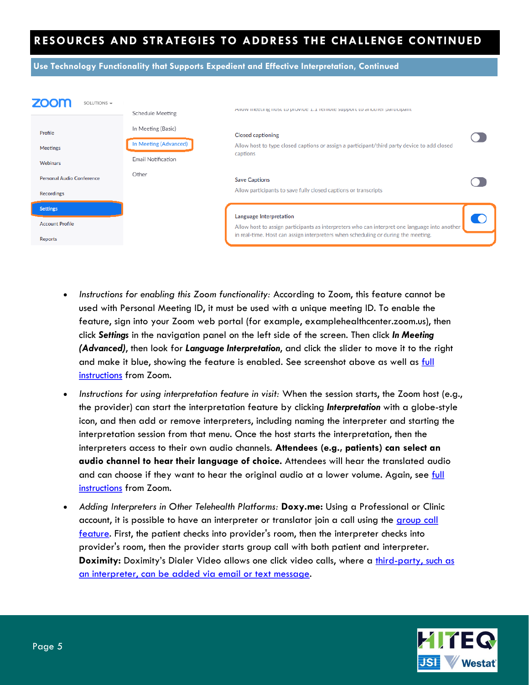**Use Technology Functionality that Supports Expedient and Effective Interpretation, Continued**

| SOLUTIONS -                                          | Schedule Meeting                                                  | Allow meeting nost to provide 1.1 remote support to another participant                                                                                                                                       |  |
|------------------------------------------------------|-------------------------------------------------------------------|---------------------------------------------------------------------------------------------------------------------------------------------------------------------------------------------------------------|--|
| Profile<br><b>Meetings</b><br>Webinars               | In Meeting (Basic)<br>In Meeting (Advanced)<br>Email Notification | <b>Closed captioning</b><br>Allow host to type closed captions or assign a participant/third party device to add closed<br>captions                                                                           |  |
| <b>Personal Audio Conference</b><br>Recordings       | Other                                                             | <b>Save Captions</b><br>Allow participants to save fully closed captions or transcripts                                                                                                                       |  |
| <b>Settings</b><br><b>Account Profile</b><br>Reports |                                                                   | Language Interpretation<br>Allow host to assign participants as interpreters who can interpret one language into another<br>in real-time. Host can assign interpreters when scheduling or during the meeting. |  |

- Instructions for enabling this Zoom functionality: According to Zoom, this feature cannot be used with Personal Meeting ID, it must be used with a unique meeting ID. To enable the feature, sign into your Zoom web portal (for example, examplehealthcenter.zoom.us), then click *Settings* in the navigation panel on the left side of the screen. Then click *In Meeting (Advanced)*, then look for *Language Interpretation*, and click the slider to move it to the right and make it blue, showing the feature is enabled. See screenshot above as well as full [instructions](https://support.zoom.us/hc/en-us/articles/360034919791-Language-interpretation-in-meetings-and-webinars) from Zoom.
- *Instructions for using interpretation feature in visit:* When the session starts, the Zoom host (e.g., the provider) can start the interpretation feature by clicking *Interpretation* with a globe-style icon, and then add or remove interpreters, including naming the interpreter and starting the interpretation session from that menu. Once the host starts the interpretation, then the interpreters access to their own audio channels. **Attendees (e.g., patients) can select an audio channel to hear their language of choice.** Attendees will hear the translated audio and can choose if they want to hear the original audio at a lower volume. Again, see full [instructions](https://support.zoom.us/hc/en-us/articles/360034919791-Language-interpretation-in-meetings-and-webinars) from Zoom.
- *Adding Interpreters in Other Telehealth Platforms:* **Doxy.me:** Using a Professional or Clinic account, it is possible to have an interpreter or translator join a call using the group call [feature.](https://help.doxy.me/en/articles/95902) First, the patient checks into provider's room, then the interpreter checks into provider's room, then the provider starts group call with both patient and interpreter. Doximity: Doximity's Dialer Video allows one click video calls, where a third-party, such as [an interpreter, can be added via email or text message.](https://c8y.doxcdn.com/image/upload/v1588112343/dox-dialer-3rdParticipant-4_27_20_q9hde7.pdf)

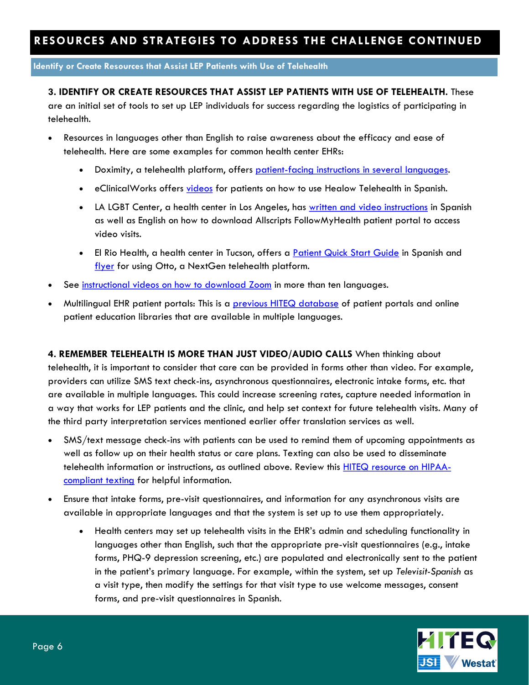**Identify or Create Resources that Assist LEP Patients with Use of Telehealth**

#### **3. IDENTIFY OR CREATE RESOURCES THAT ASSIST LEP PATIENTS WITH USE OF TELEHEALTH.** These

are an initial set of tools to set up LEP individuals for success regarding the logistics of participating in telehealth.

- Resources in languages other than English to raise awareness about the efficacy and ease of telehealth. Here are some examples for common health center EHRs:
	- Doximity, a telehealth platform, offers [patient-facing instructions in several languages.](https://support.doximity.com/hc/en-us/articles/360046775914)
	- **eClinicalWorks offers [videos](https://www.youtube.com/playlist?list=PL6Y7gFhb66yFGRMoqyyXViqUWj9hIb8KR) for patients on how to use Healow Telehealth in Spanish.**
	- LA LGBT Center, a health center in Los Angeles, has [written and video instructions](https://lalgbtcenter.org/health-services/followmyhealth-patient-portal) in Spanish as well as English on how to download Allscripts FollowMyHealth patient portal to access video visits.
	- . El Rio Health, a health center in Tucson, offers a [Patient Quick Start Guide](https://www.elrio.org/wp-content/uploads/2020/04/spanish-1.pdf) in Spanish and [flyer](https://www.elrio.org/wp-content/uploads/2020/04/telehealthenglishspanish.pdf) for using Otto, a NextGen telehealth platform.
- See [instructional videos on how to download Zoom](https://cvp.ucsf.edu/telehealth#For-Patients) in more than ten languages.
- Multilingual EHR patient portals: This is a [previous HITEQ database](http://hiteqcenter.org/Resources/Electronic-Patient-Engagement/Patient-Portals/Multilingual-Patient-Resources) of patient portals and online patient education libraries that are available in multiple languages.

**4. REMEMBER TELEHEALTH IS MORE THAN JUST VIDEO/AUDIO CALLS** When thinking about telehealth, it is important to consider that care can be provided in forms other than video. For example, providers can utilize SMS text check-ins, asynchronous questionnaires, electronic intake forms, etc. that are available in multiple languages. This could increase screening rates, capture needed information in a way that works for LEP patients and the clinic, and help set context for future telehealth visits. Many of the third party interpretation services mentioned earlier offer translation services as well.

- SMS/text message check-ins with patients can be used to remind them of upcoming appointments as well as follow up on their health status or care plans. Texting can also be used to disseminate telehealth information or instructions, as outlined above. Review this [HITEQ resource on HIPAA](https://hiteqcenter.org/Resources/HITEQ-Resources/the-health-center-cios-guide-to-hipaa-compliant-text-messaging?TitleLink=The-Health-Center-CIO%E2%80%99s-Guide-to-HIPAA-Compliant-Text-Messaging)[compliant texting](https://hiteqcenter.org/Resources/HITEQ-Resources/the-health-center-cios-guide-to-hipaa-compliant-text-messaging?TitleLink=The-Health-Center-CIO%E2%80%99s-Guide-to-HIPAA-Compliant-Text-Messaging) for helpful information.
- Ensure that intake forms, pre-visit questionnaires, and information for any asynchronous visits are available in appropriate languages and that the system is set up to use them appropriately.
	- Health centers may set up telehealth visits in the EHR's admin and scheduling functionality in languages other than English, such that the appropriate pre-visit questionnaires (e.g., intake forms, PHQ-9 depression screening, etc.) are populated and electronically sent to the patient in the patient's primary language. For example, within the system, set up *Televisit-Spanish* as a visit type, then modify the settings for that visit type to use welcome messages, consent forms, and pre-visit questionnaires in Spanish.

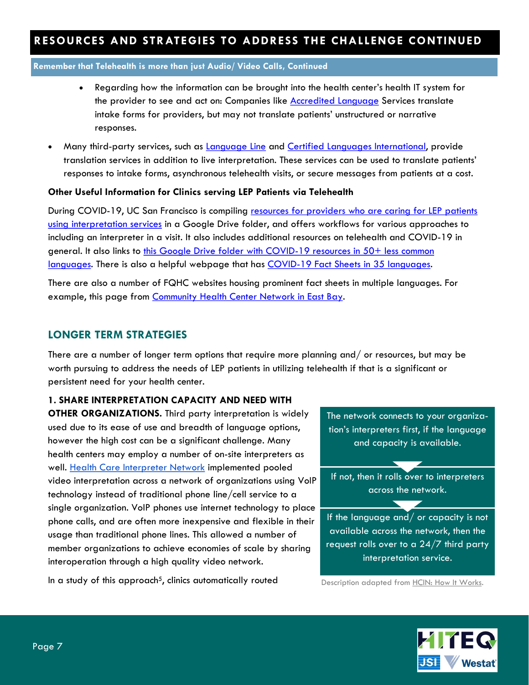**Remember that Telehealth is more than just Audio/ Video Calls, Continued** 

- Regarding how the information can be brought into the health center's health IT system for the provider to see and act on: Companies like [Accredited Language](https://www.accreditedlanguage.com/translation/how-translation-of-intake-forms-improves-medical-care/) Services translate intake forms for providers, but may not translate patients' unstructured or narrative responses.
- Many third-party services, such as <u>Language Line</u> and <u>Certified Languages International</u>, provide translation services in addition to live interpretation. These services can be used to translate patients' responses to intake forms, asynchronous telehealth visits, or secure messages from patients at a cost.

#### **Other Useful Information for Clinics serving LEP Patients via Telehealth**

During COVID-19, UC San Francisco is compiling resources for providers who are caring for LEP patients [using interpretation services](https://docs.google.com/document/d/1ojgUVwI25H1KRuNI5kvXhbyVL3zpMGDVkcRkZ_XzhFE/edit) in a Google Drive folder, and offers workflows for various approaches to including an interpreter in a visit. It also includes additional resources on telehealth and COVID-19 in general. It also links to this Google Drive folder with COVID-19 resources in 50+ less common [languages.](https://drive.google.com/drive/folders/1KmaFpW-NFoKy8_D0JrNKpUsNb15MFkSk?fbclid=IwAR2ibQdTOq3Rj5aJc_qWF_m_dTviOdtnwtMQLL9CTbFLXiOjWkA82TzjS_s) There is also a helpful webpage that has [COVID-19 Fact Sheets in 35 languages.](https://covid19healthliteracyproject.com/#languages)

There are also a number of FQHC websites housing prominent fact sheets in multiple languages. For example, this page from [Community Health Center Network in East Bay.](https://chcnetwork.org/)

#### **LONGER TERM STRATEGIES**

There are a number of longer term options that require more planning and/ or resources, but may be worth pursuing to address the needs of LEP patients in utilizing telehealth if that is a significant or persistent need for your health center.

#### **1. SHARE INTERPRETATION CAPACITY AND NEED WITH**

**OTHER ORGANIZATIONS.** Third party interpretation is widely used due to its ease of use and breadth of language options, however the high cost can be a significant challenge. Many health centers may employ a number of on-site interpreters as well. [Health Care Interpreter Network](http://www.hcin.org/) implemented pooled video interpretation across a network of organizations using VoIP technology instead of traditional phone line/cell service to a single organization. VoIP phones use internet technology to place phone calls, and are often more inexpensive and flexible in their usage than traditional phone lines. This allowed a number of member organizations to achieve economies of scale by sharing interoperation through a high quality video network.

In a study of this approach<sup>5</sup>, clinics automatically routed

The network connects to your organization's interpreters first, if the language and capacity is available.

If not, then it rolls over to interpreters across the network.

 $\overline{\phantom{a}}$ 

 $\overline{\phantom{a}}$ 

If the language and/ or capacity is not available across the network, then the request rolls over to a 24/7 third party interpretation service.

Description adapted from [HCIN: How It Works.](http://www.hcin.org/index.php/solution-howitworks/)

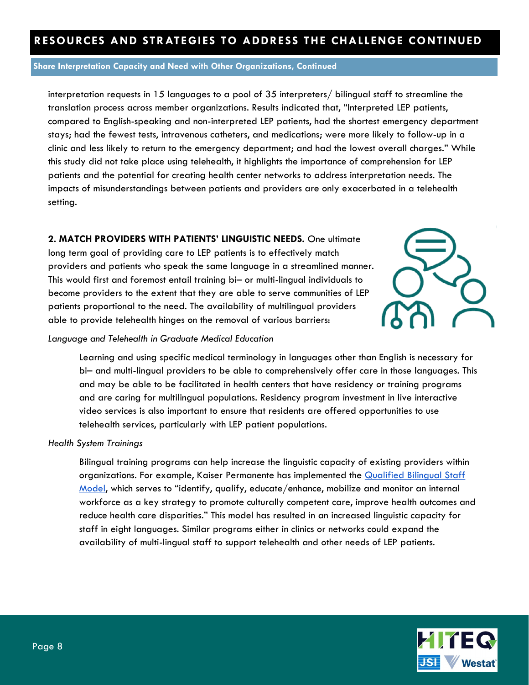#### **Share Interpretation Capacity and Need with Other Organizations, Continued**

interpretation requests in 15 languages to a pool of 35 interpreters/ bilingual staff to streamline the translation process across member organizations. Results indicated that, "Interpreted LEP patients, compared to English-speaking and non-interpreted LEP patients, had the shortest emergency department stays; had the fewest tests, intravenous catheters, and medications; were more likely to follow-up in a clinic and less likely to return to the emergency department; and had the lowest overall charges." While this study did not take place using telehealth, it highlights the importance of comprehension for LEP patients and the potential for creating health center networks to address interpretation needs. The impacts of misunderstandings between patients and providers are only exacerbated in a telehealth setting.

#### **2. MATCH PROVIDERS WITH PATIENTS' LINGUISTIC NEEDS.** One ultimate

long term goal of providing care to LEP patients is to effectively match providers and patients who speak the same language in a streamlined manner. This would first and foremost entail training bi– or multi-lingual individuals to become providers to the extent that they are able to serve communities of LEP patients proportional to the need. The availability of multilingual providers able to provide telehealth hinges on the removal of various barriers:



#### *Language and Telehealth in Graduate Medical Education*

Learning and using specific medical terminology in languages other than English is necessary for bi– and multi-lingual providers to be able to comprehensively offer care in those languages. This and may be able to be facilitated in health centers that have residency or training programs and are caring for multilingual populations. Residency program investment in live interactive video services is also important to ensure that residents are offered opportunities to use telehealth services, particularly with LEP patient populations.

#### *Health System Trainings*

Bilingual training programs can help increase the linguistic capacity of existing providers within organizations. For example, Kaiser Permanente has implemented the Qualified Bilingual Staff [Model](https://www.rwjf.org/en/library/research/2008/09/the-national-health-plan-collaborative-toolkit/section-5-case-studies/kaiser-permanente-qualified-bilingual-staff-model.html), which serves to "identify, qualify, educate/enhance, mobilize and monitor an internal workforce as a key strategy to promote culturally competent care, improve health outcomes and reduce health care disparities." This model has resulted in an increased linguistic capacity for staff in eight languages. Similar programs either in clinics or networks could expand the availability of multi-lingual staff to support telehealth and other needs of LEP patients.

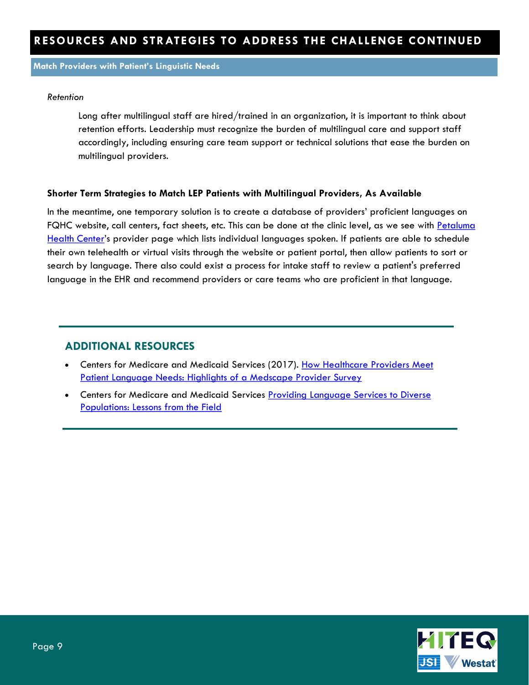**Match Providers with Patient's Linguistic Needs**

#### *Retention*

Long after multilingual staff are hired/trained in an organization, it is important to think about retention efforts. Leadership must recognize the burden of multilingual care and support staff accordingly, including ensuring care team support or technical solutions that ease the burden on multilingual providers.

#### **Shorter Term Strategies to Match LEP Patients with Multilingual Providers, As Available**

In the meantime, one temporary solution is to create a database of providers' proficient languages on FQHC website, call centers, fact sheets, etc. This can be done at the clinic level, as we see with Petaluma [Health Center](https://phealthcenter.org/about-us/providers/)'s provider page which lists individual languages spoken. If patients are able to schedule their own telehealth or virtual visits through the website or patient portal, then allow patients to sort or search by language. There also could exist a process for intake staff to review a patient's preferred language in the EHR and recommend providers or care teams who are proficient in that language.

### **ADDITIONAL RESOURCES**

- **•** Centers for Medicare and Medicaid Services (2017). How Healthcare Providers Meet [Patient Language Needs: Highlights of a Medscape Provider Survey](https://www.cms.gov/About-CMS/Agency-Information/OMH/Downloads/Issue-Brief-How-Healthcare-Providers-Meet-Patient-Language-Needs.pdf)
- **•** Centers for Medicare and Medicaid Services Providing Language Services to Diverse [Populations: Lessons from the Field](https://www.cms.gov/About-CMS/Agency-Information/OMH/Downloads/Lessons-from-the-Field-508.pdf)